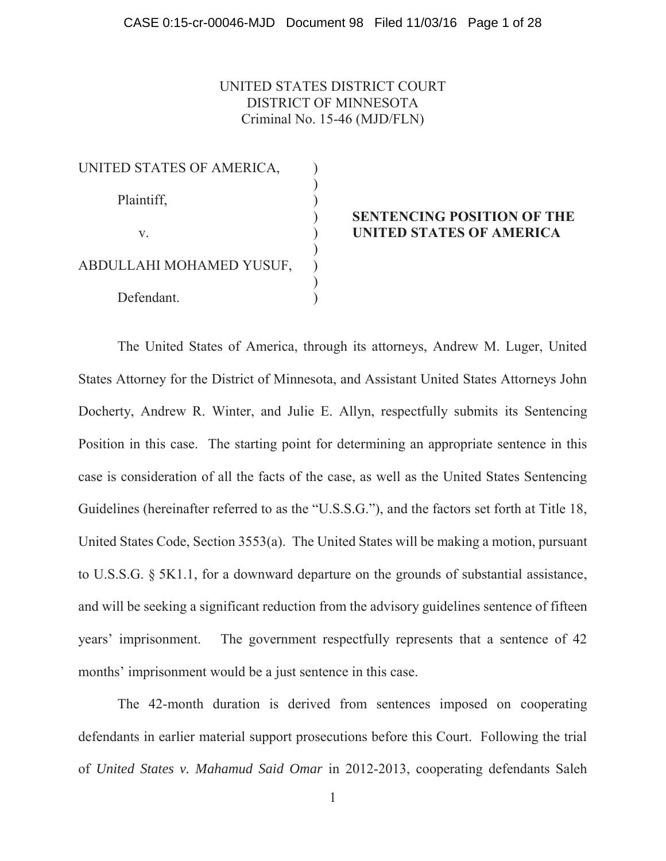# UNITED STATES DISTRICT COURT DISTRICT OF MINNESOTA Criminal No. 15-46 (MJD/FLN)

| UNITED STATES OF AMERICA, |  |
|---------------------------|--|
| Plaintiff,                |  |
|                           |  |
| $V_{-}$                   |  |
| ABDULLAHI MOHAMED YUSUF,  |  |
| Defendant.                |  |

## ) **SENTENCING POSITION OF THE UNITED STATES OF AMERICA**

 The United States of America, through its attorneys, Andrew M. Luger, United States Attorney for the District of Minnesota, and Assistant United States Attorneys John Docherty, Andrew R. Winter, and Julie E. Allyn, respectfully submits its Sentencing Position in this case. The starting point for determining an appropriate sentence in this case is consideration of all the facts of the case, as well as the United States Sentencing Guidelines (hereinafter referred to as the "U.S.S.G."), and the factors set forth at Title 18, United States Code, Section 3553(a). The United States will be making a motion, pursuant to U.S.S.G. § 5K1.1, for a downward departure on the grounds of substantial assistance, and will be seeking a significant reduction from the advisory guidelines sentence of fifteen years' imprisonment. The government respectfully represents that a sentence of 42 months' imprisonment would be a just sentence in this case.

The 42-month duration is derived from sentences imposed on cooperating defendants in earlier material support prosecutions before this Court. Following the trial of *United States v. Mahamud Said Omar* in 2012-2013, cooperating defendants Saleh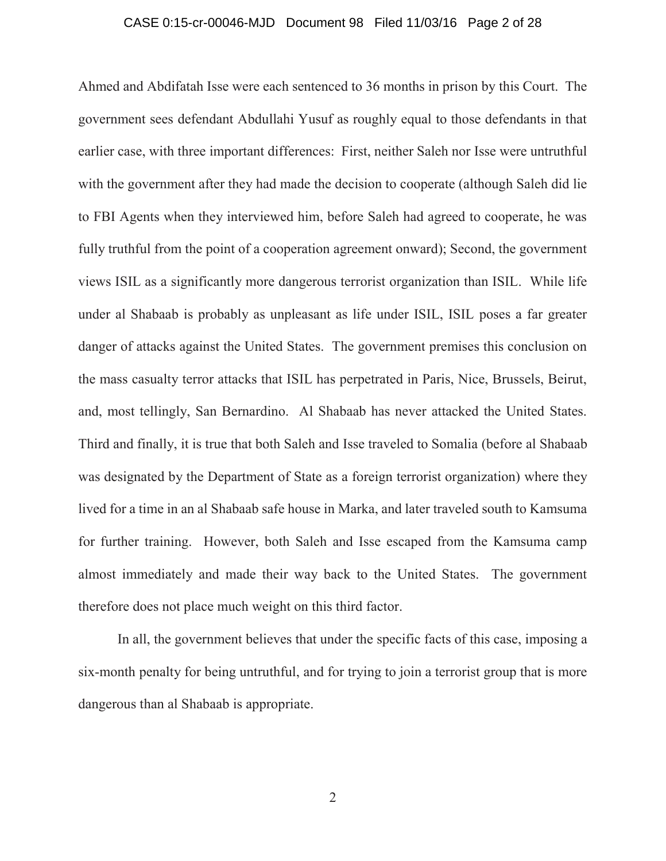## CASE 0:15-cr-00046-MJD Document 98 Filed 11/03/16 Page 2 of 28

Ahmed and Abdifatah Isse were each sentenced to 36 months in prison by this Court. The government sees defendant Abdullahi Yusuf as roughly equal to those defendants in that earlier case, with three important differences: First, neither Saleh nor Isse were untruthful with the government after they had made the decision to cooperate (although Saleh did lie to FBI Agents when they interviewed him, before Saleh had agreed to cooperate, he was fully truthful from the point of a cooperation agreement onward); Second, the government views ISIL as a significantly more dangerous terrorist organization than ISIL. While life under al Shabaab is probably as unpleasant as life under ISIL, ISIL poses a far greater danger of attacks against the United States. The government premises this conclusion on the mass casualty terror attacks that ISIL has perpetrated in Paris, Nice, Brussels, Beirut, and, most tellingly, San Bernardino. Al Shabaab has never attacked the United States. Third and finally, it is true that both Saleh and Isse traveled to Somalia (before al Shabaab was designated by the Department of State as a foreign terrorist organization) where they lived for a time in an al Shabaab safe house in Marka, and later traveled south to Kamsuma for further training. However, both Saleh and Isse escaped from the Kamsuma camp almost immediately and made their way back to the United States. The government therefore does not place much weight on this third factor.

In all, the government believes that under the specific facts of this case, imposing a six-month penalty for being untruthful, and for trying to join a terrorist group that is more dangerous than al Shabaab is appropriate.

2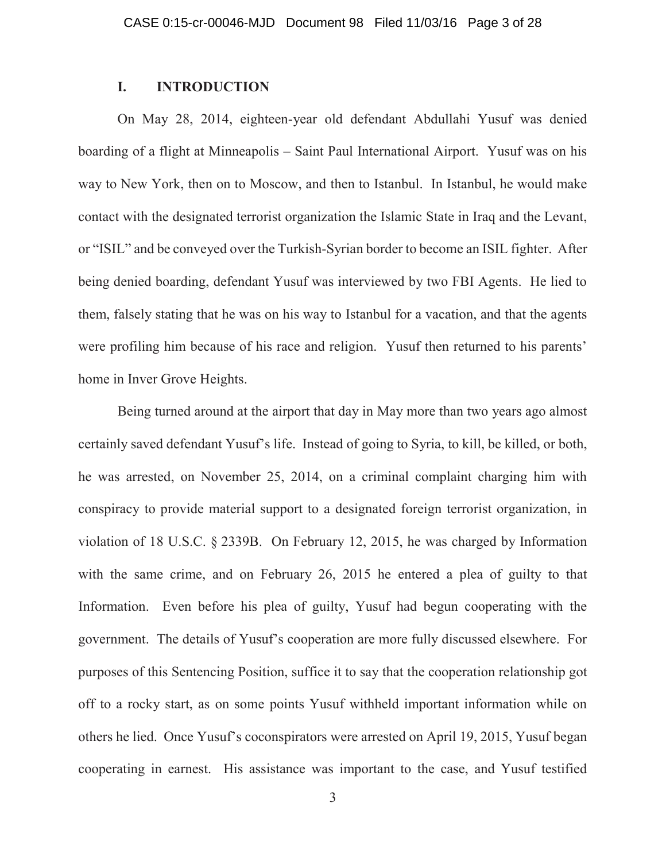## **I. INTRODUCTION**

On May 28, 2014, eighteen-year old defendant Abdullahi Yusuf was denied boarding of a flight at Minneapolis – Saint Paul International Airport. Yusuf was on his way to New York, then on to Moscow, and then to Istanbul. In Istanbul, he would make contact with the designated terrorist organization the Islamic State in Iraq and the Levant, or "ISIL" and be conveyed over the Turkish-Syrian border to become an ISIL fighter. After being denied boarding, defendant Yusuf was interviewed by two FBI Agents. He lied to them, falsely stating that he was on his way to Istanbul for a vacation, and that the agents were profiling him because of his race and religion. Yusuf then returned to his parents' home in Inver Grove Heights.

Being turned around at the airport that day in May more than two years ago almost certainly saved defendant Yusuf's life. Instead of going to Syria, to kill, be killed, or both, he was arrested, on November 25, 2014, on a criminal complaint charging him with conspiracy to provide material support to a designated foreign terrorist organization, in violation of 18 U.S.C. § 2339B. On February 12, 2015, he was charged by Information with the same crime, and on February 26, 2015 he entered a plea of guilty to that Information. Even before his plea of guilty, Yusuf had begun cooperating with the government. The details of Yusuf's cooperation are more fully discussed elsewhere. For purposes of this Sentencing Position, suffice it to say that the cooperation relationship got off to a rocky start, as on some points Yusuf withheld important information while on others he lied. Once Yusuf's coconspirators were arrested on April 19, 2015, Yusuf began cooperating in earnest. His assistance was important to the case, and Yusuf testified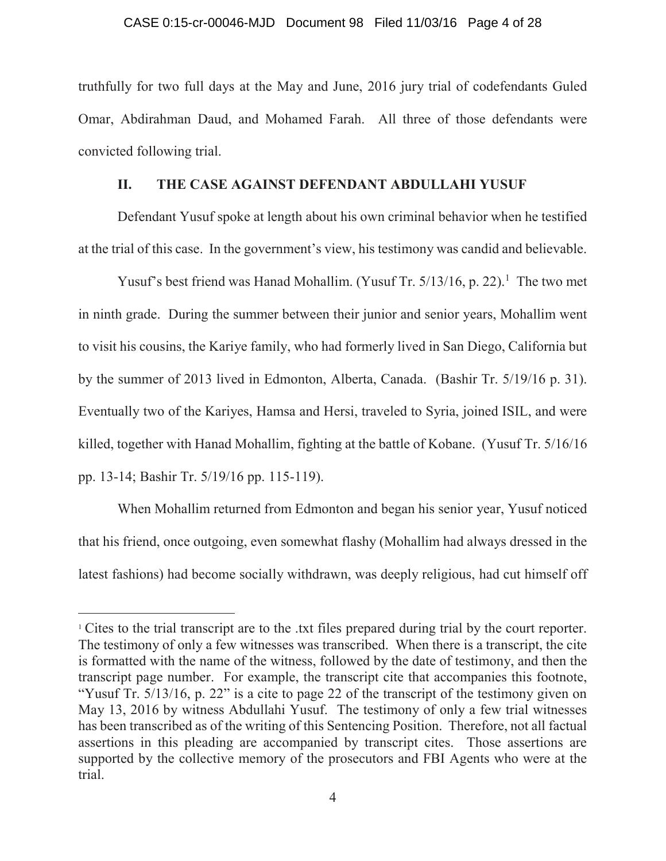## CASE 0:15-cr-00046-MJD Document 98 Filed 11/03/16 Page 4 of 28

truthfully for two full days at the May and June, 2016 jury trial of codefendants Guled Omar, Abdirahman Daud, and Mohamed Farah. All three of those defendants were convicted following trial.

## **II. THE CASE AGAINST DEFENDANT ABDULLAHI YUSUF**

Defendant Yusuf spoke at length about his own criminal behavior when he testified at the trial of this case. In the government's view, his testimony was candid and believable.

Yusuf's best friend was Hanad Mohallim. (Yusuf Tr. 5/13/16, p. 22).<sup>1</sup> The two met in ninth grade. During the summer between their junior and senior years, Mohallim went to visit his cousins, the Kariye family, who had formerly lived in San Diego, California but by the summer of 2013 lived in Edmonton, Alberta, Canada. (Bashir Tr. 5/19/16 p. 31). Eventually two of the Kariyes, Hamsa and Hersi, traveled to Syria, joined ISIL, and were killed, together with Hanad Mohallim, fighting at the battle of Kobane. (Yusuf Tr. 5/16/16 pp. 13-14; Bashir Tr. 5/19/16 pp. 115-119).

When Mohallim returned from Edmonton and began his senior year, Yusuf noticed that his friend, once outgoing, even somewhat flashy (Mohallim had always dressed in the latest fashions) had become socially withdrawn, was deeply religious, had cut himself off

 $\overline{a}$ 

<sup>&</sup>lt;sup>1</sup> Cites to the trial transcript are to the .txt files prepared during trial by the court reporter. The testimony of only a few witnesses was transcribed. When there is a transcript, the cite is formatted with the name of the witness, followed by the date of testimony, and then the transcript page number. For example, the transcript cite that accompanies this footnote, "Yusuf Tr. 5/13/16, p. 22" is a cite to page 22 of the transcript of the testimony given on May 13, 2016 by witness Abdullahi Yusuf. The testimony of only a few trial witnesses has been transcribed as of the writing of this Sentencing Position. Therefore, not all factual assertions in this pleading are accompanied by transcript cites. Those assertions are supported by the collective memory of the prosecutors and FBI Agents who were at the trial.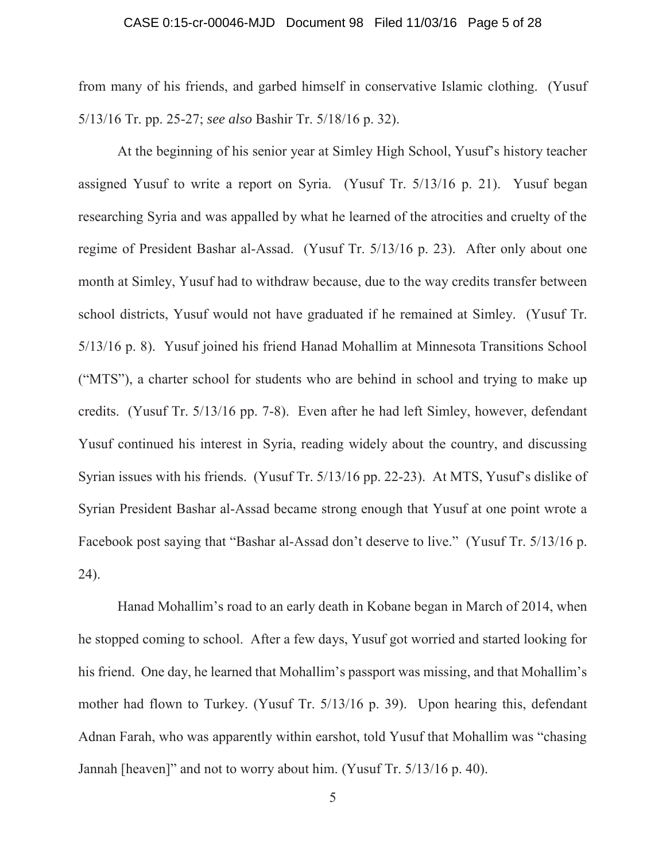## CASE 0:15-cr-00046-MJD Document 98 Filed 11/03/16 Page 5 of 28

from many of his friends, and garbed himself in conservative Islamic clothing. (Yusuf 5/13/16 Tr. pp. 25-27; *see also* Bashir Tr. 5/18/16 p. 32).

At the beginning of his senior year at Simley High School, Yusuf's history teacher assigned Yusuf to write a report on Syria. (Yusuf Tr. 5/13/16 p. 21). Yusuf began researching Syria and was appalled by what he learned of the atrocities and cruelty of the regime of President Bashar al-Assad. (Yusuf Tr. 5/13/16 p. 23). After only about one month at Simley, Yusuf had to withdraw because, due to the way credits transfer between school districts, Yusuf would not have graduated if he remained at Simley. (Yusuf Tr. 5/13/16 p. 8). Yusuf joined his friend Hanad Mohallim at Minnesota Transitions School ("MTS"), a charter school for students who are behind in school and trying to make up credits. (Yusuf Tr. 5/13/16 pp. 7-8). Even after he had left Simley, however, defendant Yusuf continued his interest in Syria, reading widely about the country, and discussing Syrian issues with his friends. (Yusuf Tr. 5/13/16 pp. 22-23). At MTS, Yusuf's dislike of Syrian President Bashar al-Assad became strong enough that Yusuf at one point wrote a Facebook post saying that "Bashar al-Assad don't deserve to live." (Yusuf Tr. 5/13/16 p. 24).

Hanad Mohallim's road to an early death in Kobane began in March of 2014, when he stopped coming to school. After a few days, Yusuf got worried and started looking for his friend. One day, he learned that Mohallim's passport was missing, and that Mohallim's mother had flown to Turkey. (Yusuf Tr. 5/13/16 p. 39). Upon hearing this, defendant Adnan Farah, who was apparently within earshot, told Yusuf that Mohallim was "chasing Jannah [heaven]" and not to worry about him. (Yusuf Tr. 5/13/16 p. 40).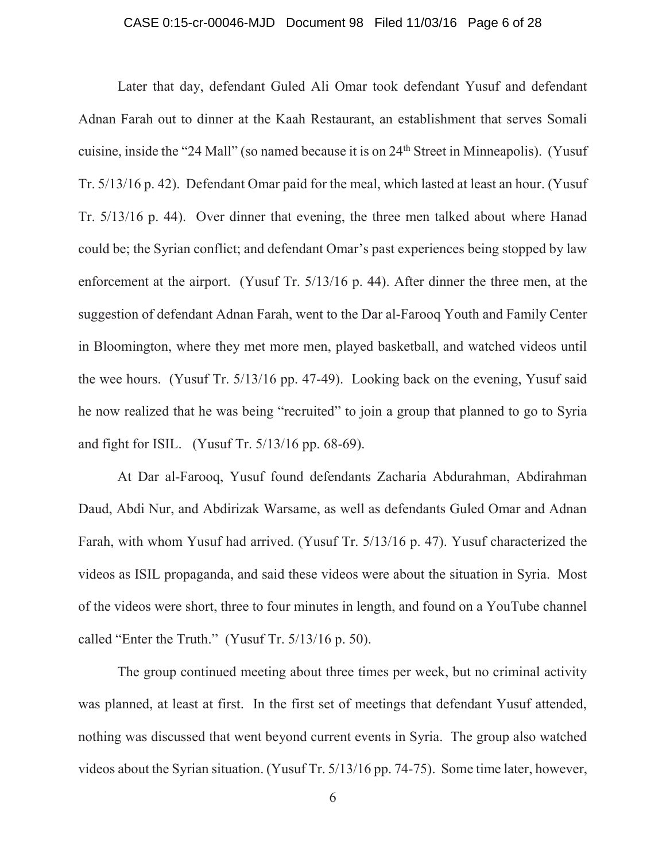## CASE 0:15-cr-00046-MJD Document 98 Filed 11/03/16 Page 6 of 28

Later that day, defendant Guled Ali Omar took defendant Yusuf and defendant Adnan Farah out to dinner at the Kaah Restaurant, an establishment that serves Somali cuisine, inside the "24 Mall" (so named because it is on 24th Street in Minneapolis). (Yusuf Tr. 5/13/16 p. 42). Defendant Omar paid for the meal, which lasted at least an hour. (Yusuf Tr. 5/13/16 p. 44). Over dinner that evening, the three men talked about where Hanad could be; the Syrian conflict; and defendant Omar's past experiences being stopped by law enforcement at the airport. (Yusuf Tr. 5/13/16 p. 44). After dinner the three men, at the suggestion of defendant Adnan Farah, went to the Dar al-Farooq Youth and Family Center in Bloomington, where they met more men, played basketball, and watched videos until the wee hours. (Yusuf Tr. 5/13/16 pp. 47-49). Looking back on the evening, Yusuf said he now realized that he was being "recruited" to join a group that planned to go to Syria and fight for ISIL. (Yusuf Tr. 5/13/16 pp. 68-69).

At Dar al-Farooq, Yusuf found defendants Zacharia Abdurahman, Abdirahman Daud, Abdi Nur, and Abdirizak Warsame, as well as defendants Guled Omar and Adnan Farah, with whom Yusuf had arrived. (Yusuf Tr. 5/13/16 p. 47). Yusuf characterized the videos as ISIL propaganda, and said these videos were about the situation in Syria. Most of the videos were short, three to four minutes in length, and found on a YouTube channel called "Enter the Truth." (Yusuf Tr. 5/13/16 p. 50).

The group continued meeting about three times per week, but no criminal activity was planned, at least at first. In the first set of meetings that defendant Yusuf attended, nothing was discussed that went beyond current events in Syria. The group also watched videos about the Syrian situation. (Yusuf Tr. 5/13/16 pp. 74-75). Some time later, however,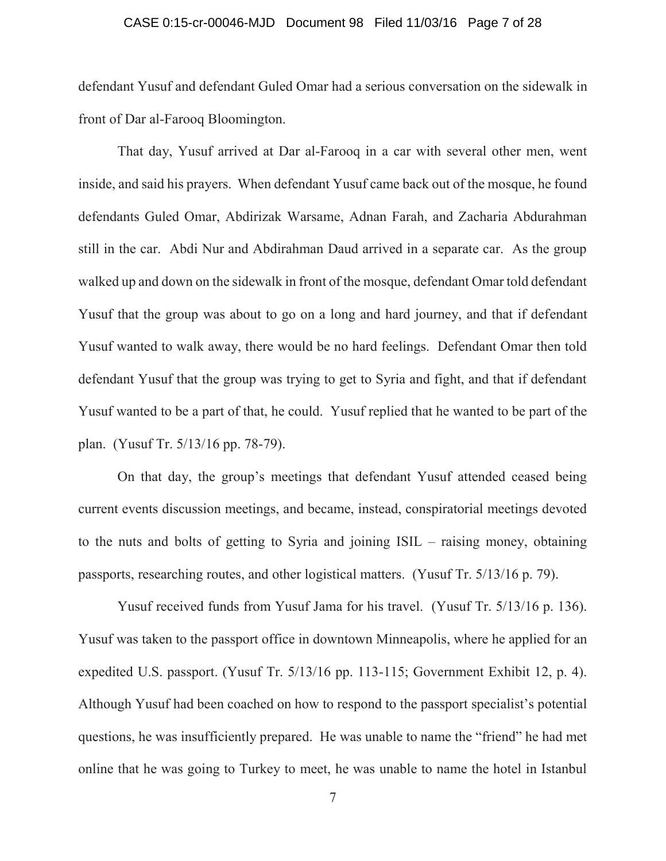## CASE 0:15-cr-00046-MJD Document 98 Filed 11/03/16 Page 7 of 28

defendant Yusuf and defendant Guled Omar had a serious conversation on the sidewalk in front of Dar al-Farooq Bloomington.

That day, Yusuf arrived at Dar al-Farooq in a car with several other men, went inside, and said his prayers. When defendant Yusuf came back out of the mosque, he found defendants Guled Omar, Abdirizak Warsame, Adnan Farah, and Zacharia Abdurahman still in the car. Abdi Nur and Abdirahman Daud arrived in a separate car. As the group walked up and down on the sidewalk in front of the mosque, defendant Omar told defendant Yusuf that the group was about to go on a long and hard journey, and that if defendant Yusuf wanted to walk away, there would be no hard feelings. Defendant Omar then told defendant Yusuf that the group was trying to get to Syria and fight, and that if defendant Yusuf wanted to be a part of that, he could. Yusuf replied that he wanted to be part of the plan. (Yusuf Tr. 5/13/16 pp. 78-79).

On that day, the group's meetings that defendant Yusuf attended ceased being current events discussion meetings, and became, instead, conspiratorial meetings devoted to the nuts and bolts of getting to Syria and joining ISIL – raising money, obtaining passports, researching routes, and other logistical matters. (Yusuf Tr. 5/13/16 p. 79).

Yusuf received funds from Yusuf Jama for his travel. (Yusuf Tr. 5/13/16 p. 136). Yusuf was taken to the passport office in downtown Minneapolis, where he applied for an expedited U.S. passport. (Yusuf Tr. 5/13/16 pp. 113-115; Government Exhibit 12, p. 4). Although Yusuf had been coached on how to respond to the passport specialist's potential questions, he was insufficiently prepared. He was unable to name the "friend" he had met online that he was going to Turkey to meet, he was unable to name the hotel in Istanbul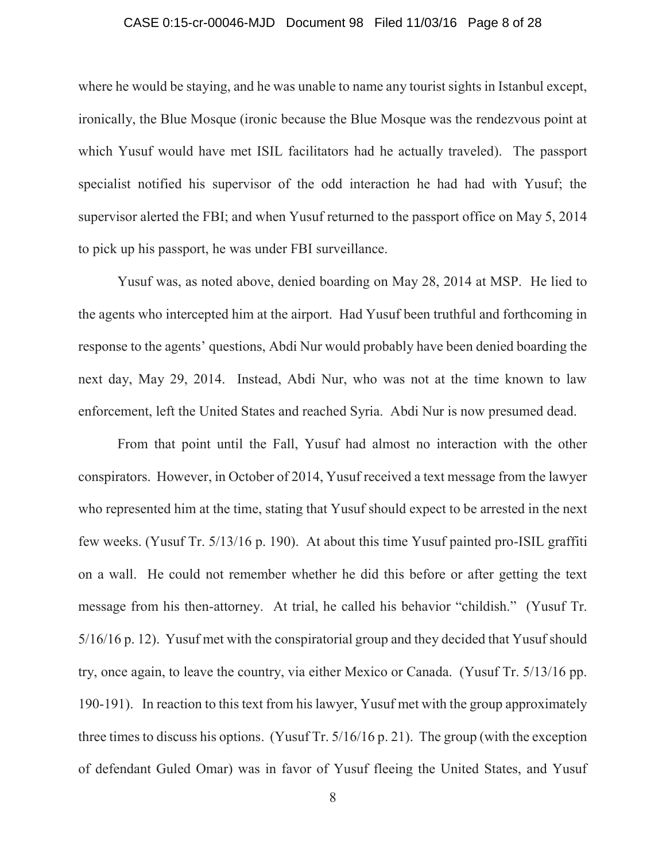## CASE 0:15-cr-00046-MJD Document 98 Filed 11/03/16 Page 8 of 28

where he would be staying, and he was unable to name any tourist sights in Istanbul except, ironically, the Blue Mosque (ironic because the Blue Mosque was the rendezvous point at which Yusuf would have met ISIL facilitators had he actually traveled). The passport specialist notified his supervisor of the odd interaction he had had with Yusuf; the supervisor alerted the FBI; and when Yusuf returned to the passport office on May 5, 2014 to pick up his passport, he was under FBI surveillance.

Yusuf was, as noted above, denied boarding on May 28, 2014 at MSP. He lied to the agents who intercepted him at the airport. Had Yusuf been truthful and forthcoming in response to the agents' questions, Abdi Nur would probably have been denied boarding the next day, May 29, 2014. Instead, Abdi Nur, who was not at the time known to law enforcement, left the United States and reached Syria. Abdi Nur is now presumed dead.

From that point until the Fall, Yusuf had almost no interaction with the other conspirators. However, in October of 2014, Yusuf received a text message from the lawyer who represented him at the time, stating that Yusuf should expect to be arrested in the next few weeks. (Yusuf Tr. 5/13/16 p. 190). At about this time Yusuf painted pro-ISIL graffiti on a wall. He could not remember whether he did this before or after getting the text message from his then-attorney. At trial, he called his behavior "childish." (Yusuf Tr. 5/16/16 p. 12). Yusuf met with the conspiratorial group and they decided that Yusuf should try, once again, to leave the country, via either Mexico or Canada. (Yusuf Tr. 5/13/16 pp. 190-191). In reaction to this text from his lawyer, Yusuf met with the group approximately three times to discuss his options. (Yusuf Tr. 5/16/16 p. 21). The group (with the exception of defendant Guled Omar) was in favor of Yusuf fleeing the United States, and Yusuf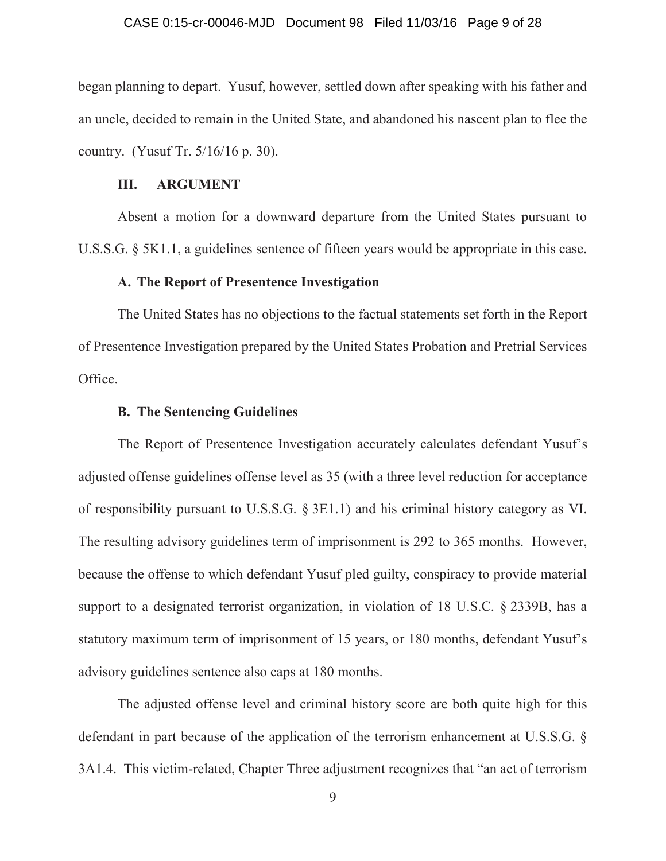## CASE 0:15-cr-00046-MJD Document 98 Filed 11/03/16 Page 9 of 28

began planning to depart. Yusuf, however, settled down after speaking with his father and an uncle, decided to remain in the United State, and abandoned his nascent plan to flee the country. (Yusuf Tr. 5/16/16 p. 30).

## **III. ARGUMENT**

Absent a motion for a downward departure from the United States pursuant to U.S.S.G. § 5K1.1, a guidelines sentence of fifteen years would be appropriate in this case.

## **A. The Report of Presentence Investigation**

The United States has no objections to the factual statements set forth in the Report of Presentence Investigation prepared by the United States Probation and Pretrial Services Office.

## **B. The Sentencing Guidelines**

The Report of Presentence Investigation accurately calculates defendant Yusuf's adjusted offense guidelines offense level as 35 (with a three level reduction for acceptance of responsibility pursuant to U.S.S.G. § 3E1.1) and his criminal history category as VI. The resulting advisory guidelines term of imprisonment is 292 to 365 months. However, because the offense to which defendant Yusuf pled guilty, conspiracy to provide material support to a designated terrorist organization, in violation of 18 U.S.C. § 2339B, has a statutory maximum term of imprisonment of 15 years, or 180 months, defendant Yusuf's advisory guidelines sentence also caps at 180 months.

The adjusted offense level and criminal history score are both quite high for this defendant in part because of the application of the terrorism enhancement at U.S.S.G. § 3A1.4. This victim-related, Chapter Three adjustment recognizes that "an act of terrorism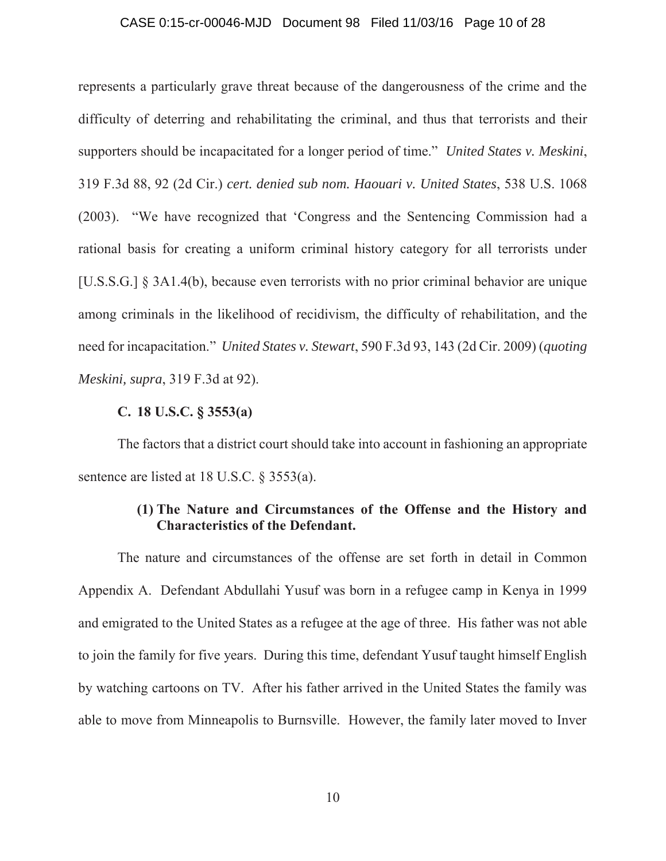## CASE 0:15-cr-00046-MJD Document 98 Filed 11/03/16 Page 10 of 28

represents a particularly grave threat because of the dangerousness of the crime and the difficulty of deterring and rehabilitating the criminal, and thus that terrorists and their supporters should be incapacitated for a longer period of time." *United States v. Meskini*, 319 F.3d 88, 92 (2d Cir.) *cert. denied sub nom. Haouari v. United States*, 538 U.S. 1068 (2003). "We have recognized that 'Congress and the Sentencing Commission had a rational basis for creating a uniform criminal history category for all terrorists under [U.S.S.G.] § 3A1.4(b), because even terrorists with no prior criminal behavior are unique among criminals in the likelihood of recidivism, the difficulty of rehabilitation, and the need for incapacitation." *United States v. Stewart*, 590 F.3d 93, 143 (2d Cir. 2009) (*quoting Meskini, supra*, 319 F.3d at 92).

## **C. 18 U.S.C. § 3553(a)**

The factors that a district court should take into account in fashioning an appropriate sentence are listed at 18 U.S.C. § 3553(a).

# **(1) The Nature and Circumstances of the Offense and the History and Characteristics of the Defendant.**

The nature and circumstances of the offense are set forth in detail in Common Appendix A. Defendant Abdullahi Yusuf was born in a refugee camp in Kenya in 1999 and emigrated to the United States as a refugee at the age of three. His father was not able to join the family for five years. During this time, defendant Yusuf taught himself English by watching cartoons on TV. After his father arrived in the United States the family was able to move from Minneapolis to Burnsville. However, the family later moved to Inver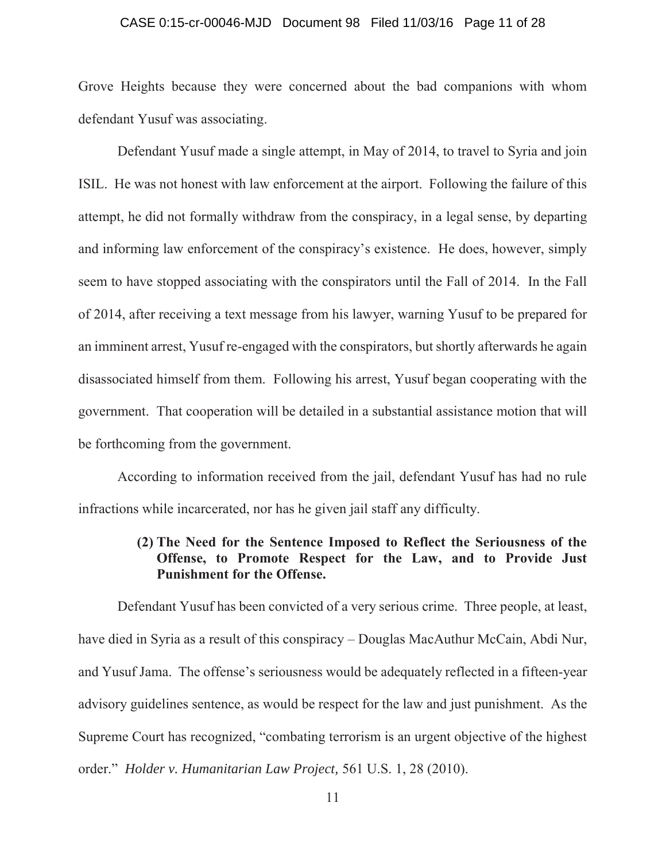## CASE 0:15-cr-00046-MJD Document 98 Filed 11/03/16 Page 11 of 28

Grove Heights because they were concerned about the bad companions with whom defendant Yusuf was associating.

Defendant Yusuf made a single attempt, in May of 2014, to travel to Syria and join ISIL. He was not honest with law enforcement at the airport. Following the failure of this attempt, he did not formally withdraw from the conspiracy, in a legal sense, by departing and informing law enforcement of the conspiracy's existence. He does, however, simply seem to have stopped associating with the conspirators until the Fall of 2014. In the Fall of 2014, after receiving a text message from his lawyer, warning Yusuf to be prepared for an imminent arrest, Yusuf re-engaged with the conspirators, but shortly afterwards he again disassociated himself from them. Following his arrest, Yusuf began cooperating with the government. That cooperation will be detailed in a substantial assistance motion that will be forthcoming from the government.

According to information received from the jail, defendant Yusuf has had no rule infractions while incarcerated, nor has he given jail staff any difficulty.

# **(2) The Need for the Sentence Imposed to Reflect the Seriousness of the Offense, to Promote Respect for the Law, and to Provide Just Punishment for the Offense.**

Defendant Yusuf has been convicted of a very serious crime. Three people, at least, have died in Syria as a result of this conspiracy – Douglas MacAuthur McCain, Abdi Nur, and Yusuf Jama. The offense's seriousness would be adequately reflected in a fifteen-year advisory guidelines sentence, as would be respect for the law and just punishment. As the Supreme Court has recognized, "combating terrorism is an urgent objective of the highest order." *Holder v. Humanitarian Law Project,* 561 U.S. 1, 28 (2010).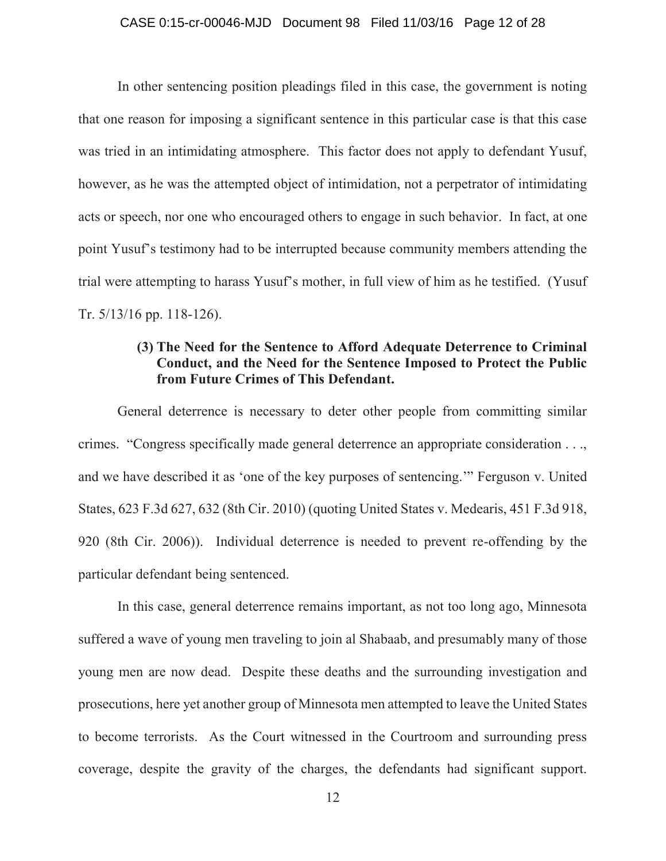## CASE 0:15-cr-00046-MJD Document 98 Filed 11/03/16 Page 12 of 28

In other sentencing position pleadings filed in this case, the government is noting that one reason for imposing a significant sentence in this particular case is that this case was tried in an intimidating atmosphere. This factor does not apply to defendant Yusuf, however, as he was the attempted object of intimidation, not a perpetrator of intimidating acts or speech, nor one who encouraged others to engage in such behavior. In fact, at one point Yusuf's testimony had to be interrupted because community members attending the trial were attempting to harass Yusuf's mother, in full view of him as he testified. (Yusuf Tr. 5/13/16 pp. 118-126).

# **(3) The Need for the Sentence to Afford Adequate Deterrence to Criminal Conduct, and the Need for the Sentence Imposed to Protect the Public from Future Crimes of This Defendant.**

General deterrence is necessary to deter other people from committing similar crimes. "Congress specifically made general deterrence an appropriate consideration . . ., and we have described it as 'one of the key purposes of sentencing.'" Ferguson v. United States, 623 F.3d 627, 632 (8th Cir. 2010) (quoting United States v. Medearis, 451 F.3d 918, 920 (8th Cir. 2006)). Individual deterrence is needed to prevent re-offending by the particular defendant being sentenced.

In this case, general deterrence remains important, as not too long ago, Minnesota suffered a wave of young men traveling to join al Shabaab, and presumably many of those young men are now dead. Despite these deaths and the surrounding investigation and prosecutions, here yet another group of Minnesota men attempted to leave the United States to become terrorists. As the Court witnessed in the Courtroom and surrounding press coverage, despite the gravity of the charges, the defendants had significant support.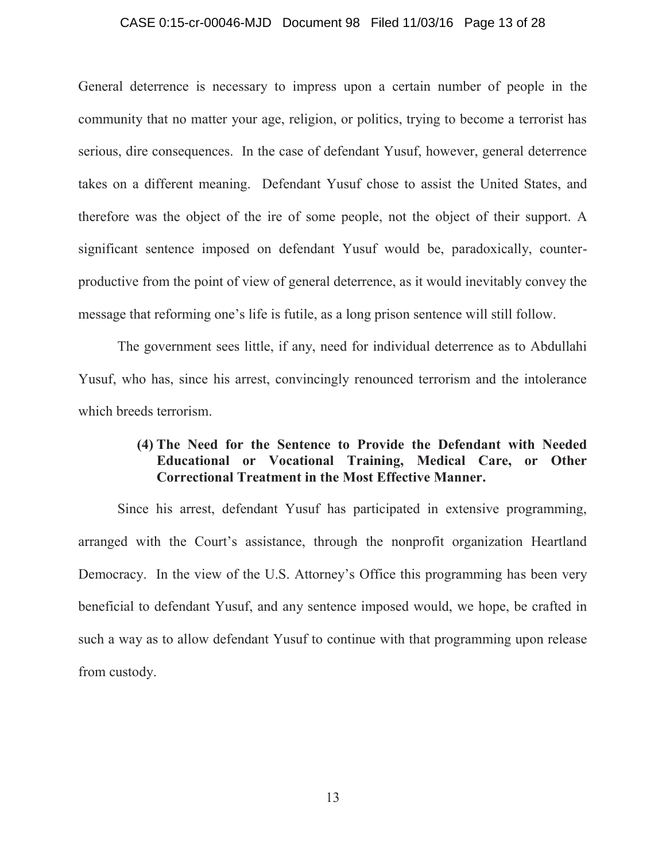## CASE 0:15-cr-00046-MJD Document 98 Filed 11/03/16 Page 13 of 28

General deterrence is necessary to impress upon a certain number of people in the community that no matter your age, religion, or politics, trying to become a terrorist has serious, dire consequences. In the case of defendant Yusuf, however, general deterrence takes on a different meaning. Defendant Yusuf chose to assist the United States, and therefore was the object of the ire of some people, not the object of their support. A significant sentence imposed on defendant Yusuf would be, paradoxically, counterproductive from the point of view of general deterrence, as it would inevitably convey the message that reforming one's life is futile, as a long prison sentence will still follow.

The government sees little, if any, need for individual deterrence as to Abdullahi Yusuf, who has, since his arrest, convincingly renounced terrorism and the intolerance which breeds terrorism.

# **(4) The Need for the Sentence to Provide the Defendant with Needed Educational or Vocational Training, Medical Care, or Other Correctional Treatment in the Most Effective Manner.**

Since his arrest, defendant Yusuf has participated in extensive programming, arranged with the Court's assistance, through the nonprofit organization Heartland Democracy. In the view of the U.S. Attorney's Office this programming has been very beneficial to defendant Yusuf, and any sentence imposed would, we hope, be crafted in such a way as to allow defendant Yusuf to continue with that programming upon release from custody.

13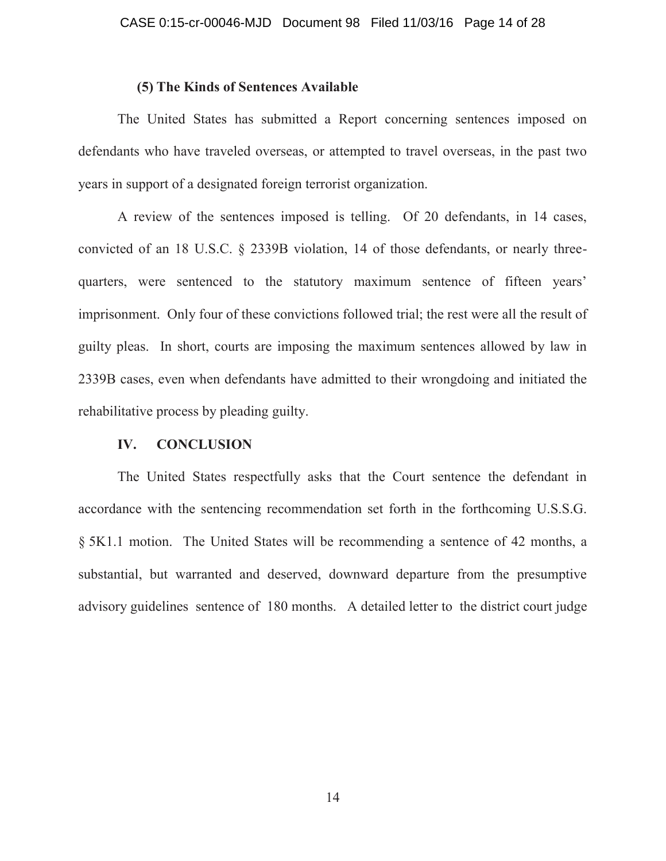## **(5) The Kinds of Sentences Available**

The United States has submitted a Report concerning sentences imposed on defendants who have traveled overseas, or attempted to travel overseas, in the past two years in support of a designated foreign terrorist organization.

A review of the sentences imposed is telling. Of 20 defendants, in 14 cases, convicted of an 18 U.S.C. § 2339B violation, 14 of those defendants, or nearly threequarters, were sentenced to the statutory maximum sentence of fifteen years' imprisonment. Only four of these convictions followed trial; the rest were all the result of guilty pleas. In short, courts are imposing the maximum sentences allowed by law in 2339B cases, even when defendants have admitted to their wrongdoing and initiated the rehabilitative process by pleading guilty.

## **IV. CONCLUSION**

The United States respectfully asks that the Court sentence the defendant in accordance with the sentencing recommendation set forth in the forthcoming U.S.S.G. § 5K1.1 motion. The United States will be recommending a sentence of 42 months, a substantial, but warranted and deserved, downward departure from the presumptive advisory guidelines sentence of 180 months. A detailed letter to the district court judge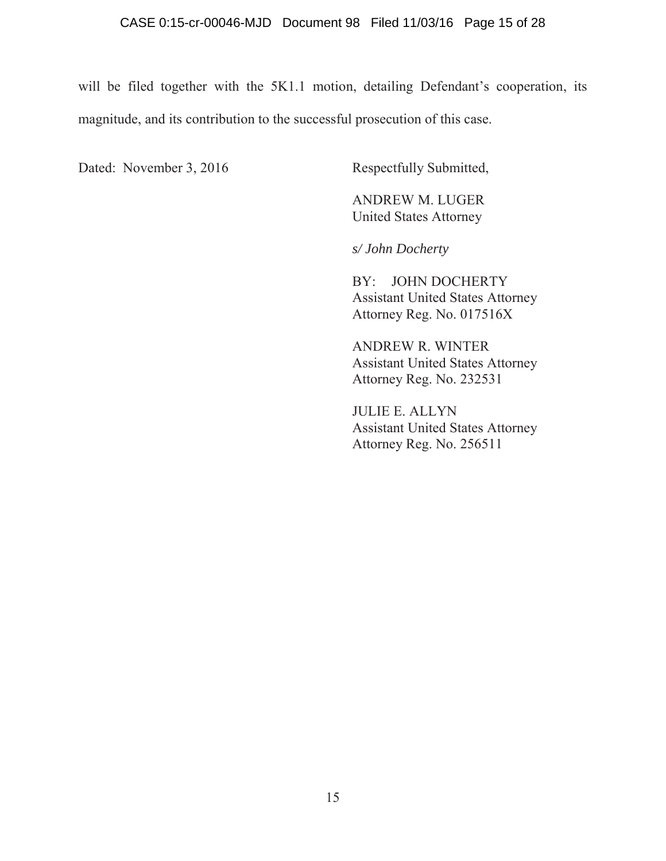will be filed together with the 5K1.1 motion, detailing Defendant's cooperation, its magnitude, and its contribution to the successful prosecution of this case.

Dated: November 3, 2016 Respectfully Submitted,

 ANDREW M. LUGER United States Attorney

*s/ John Docherty* 

 BY: JOHN DOCHERTY Assistant United States Attorney Attorney Reg. No. 017516X

 ANDREW R. WINTER Assistant United States Attorney Attorney Reg. No. 232531

 JULIE E. ALLYN Assistant United States Attorney Attorney Reg. No. 256511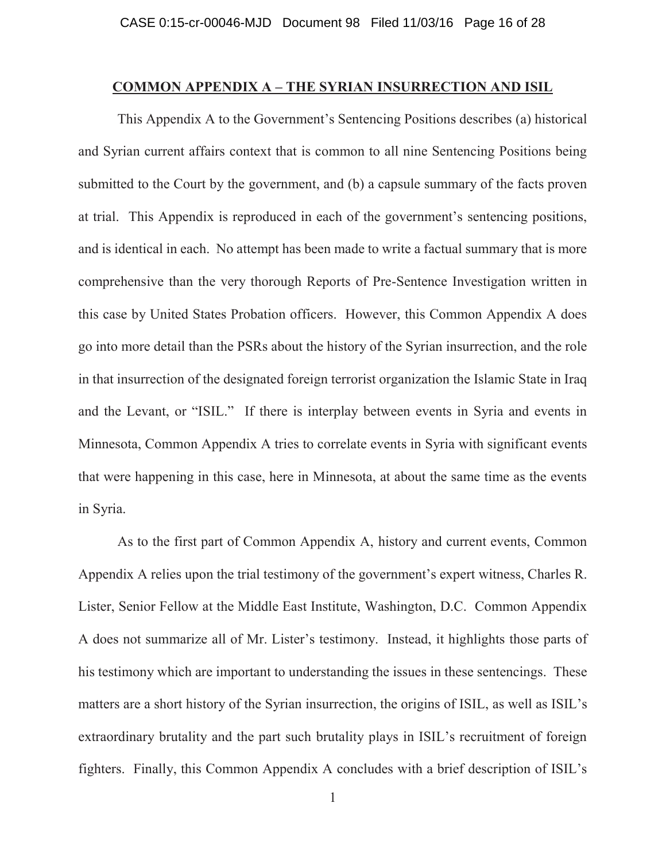## **COMMON APPENDIX A – THE SYRIAN INSURRECTION AND ISIL**

 This Appendix A to the Government's Sentencing Positions describes (a) historical and Syrian current affairs context that is common to all nine Sentencing Positions being submitted to the Court by the government, and (b) a capsule summary of the facts proven at trial. This Appendix is reproduced in each of the government's sentencing positions, and is identical in each. No attempt has been made to write a factual summary that is more comprehensive than the very thorough Reports of Pre-Sentence Investigation written in this case by United States Probation officers. However, this Common Appendix A does go into more detail than the PSRs about the history of the Syrian insurrection, and the role in that insurrection of the designated foreign terrorist organization the Islamic State in Iraq and the Levant, or "ISIL." If there is interplay between events in Syria and events in Minnesota, Common Appendix A tries to correlate events in Syria with significant events that were happening in this case, here in Minnesota, at about the same time as the events in Syria.

 As to the first part of Common Appendix A, history and current events, Common Appendix A relies upon the trial testimony of the government's expert witness, Charles R. Lister, Senior Fellow at the Middle East Institute, Washington, D.C. Common Appendix A does not summarize all of Mr. Lister's testimony. Instead, it highlights those parts of his testimony which are important to understanding the issues in these sentencings. These matters are a short history of the Syrian insurrection, the origins of ISIL, as well as ISIL's extraordinary brutality and the part such brutality plays in ISIL's recruitment of foreign fighters. Finally, this Common Appendix A concludes with a brief description of ISIL's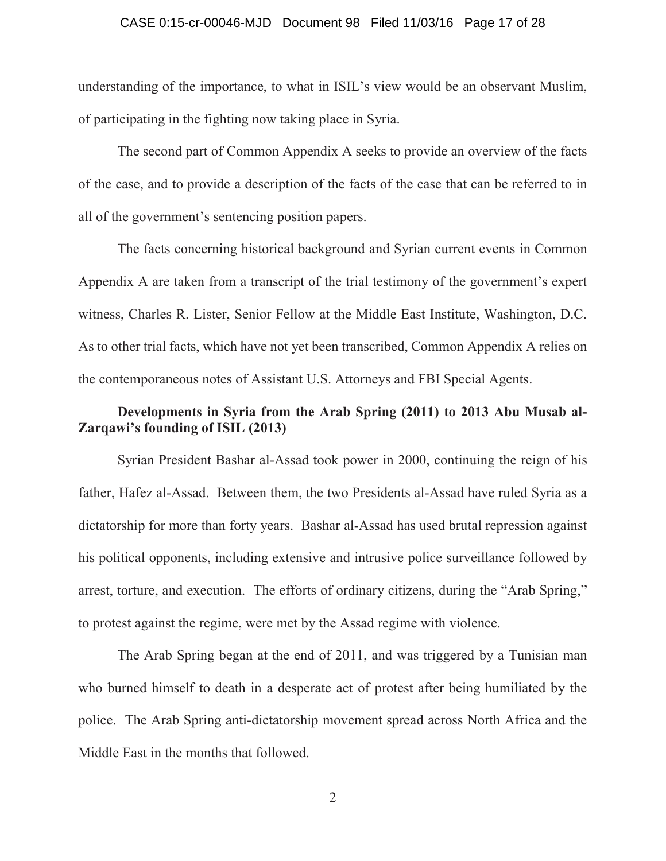## CASE 0:15-cr-00046-MJD Document 98 Filed 11/03/16 Page 17 of 28

understanding of the importance, to what in ISIL's view would be an observant Muslim, of participating in the fighting now taking place in Syria.

The second part of Common Appendix A seeks to provide an overview of the facts of the case, and to provide a description of the facts of the case that can be referred to in all of the government's sentencing position papers.

The facts concerning historical background and Syrian current events in Common Appendix A are taken from a transcript of the trial testimony of the government's expert witness, Charles R. Lister, Senior Fellow at the Middle East Institute, Washington, D.C. As to other trial facts, which have not yet been transcribed, Common Appendix A relies on the contemporaneous notes of Assistant U.S. Attorneys and FBI Special Agents.

# **Developments in Syria from the Arab Spring (2011) to 2013 Abu Musab al-Zarqawi's founding of ISIL (2013)**

Syrian President Bashar al-Assad took power in 2000, continuing the reign of his father, Hafez al-Assad. Between them, the two Presidents al-Assad have ruled Syria as a dictatorship for more than forty years. Bashar al-Assad has used brutal repression against his political opponents, including extensive and intrusive police surveillance followed by arrest, torture, and execution. The efforts of ordinary citizens, during the "Arab Spring," to protest against the regime, were met by the Assad regime with violence.

The Arab Spring began at the end of 2011, and was triggered by a Tunisian man who burned himself to death in a desperate act of protest after being humiliated by the police. The Arab Spring anti-dictatorship movement spread across North Africa and the Middle East in the months that followed.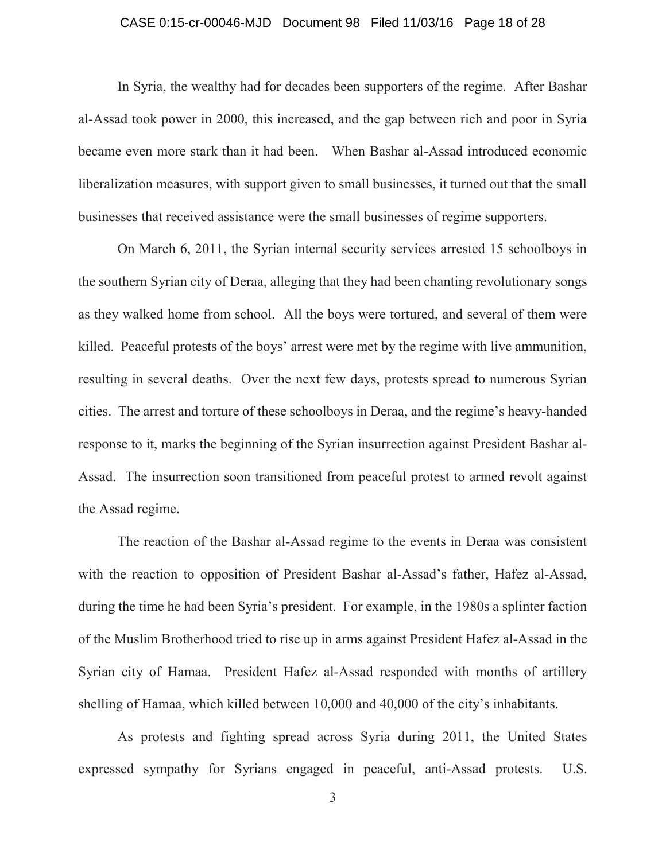## CASE 0:15-cr-00046-MJD Document 98 Filed 11/03/16 Page 18 of 28

In Syria, the wealthy had for decades been supporters of the regime. After Bashar al-Assad took power in 2000, this increased, and the gap between rich and poor in Syria became even more stark than it had been. When Bashar al-Assad introduced economic liberalization measures, with support given to small businesses, it turned out that the small businesses that received assistance were the small businesses of regime supporters.

On March 6, 2011, the Syrian internal security services arrested 15 schoolboys in the southern Syrian city of Deraa, alleging that they had been chanting revolutionary songs as they walked home from school. All the boys were tortured, and several of them were killed. Peaceful protests of the boys' arrest were met by the regime with live ammunition, resulting in several deaths. Over the next few days, protests spread to numerous Syrian cities. The arrest and torture of these schoolboys in Deraa, and the regime's heavy-handed response to it, marks the beginning of the Syrian insurrection against President Bashar al-Assad. The insurrection soon transitioned from peaceful protest to armed revolt against the Assad regime.

The reaction of the Bashar al-Assad regime to the events in Deraa was consistent with the reaction to opposition of President Bashar al-Assad's father, Hafez al-Assad, during the time he had been Syria's president. For example, in the 1980s a splinter faction of the Muslim Brotherhood tried to rise up in arms against President Hafez al-Assad in the Syrian city of Hamaa. President Hafez al-Assad responded with months of artillery shelling of Hamaa, which killed between 10,000 and 40,000 of the city's inhabitants.

As protests and fighting spread across Syria during 2011, the United States expressed sympathy for Syrians engaged in peaceful, anti-Assad protests. U.S.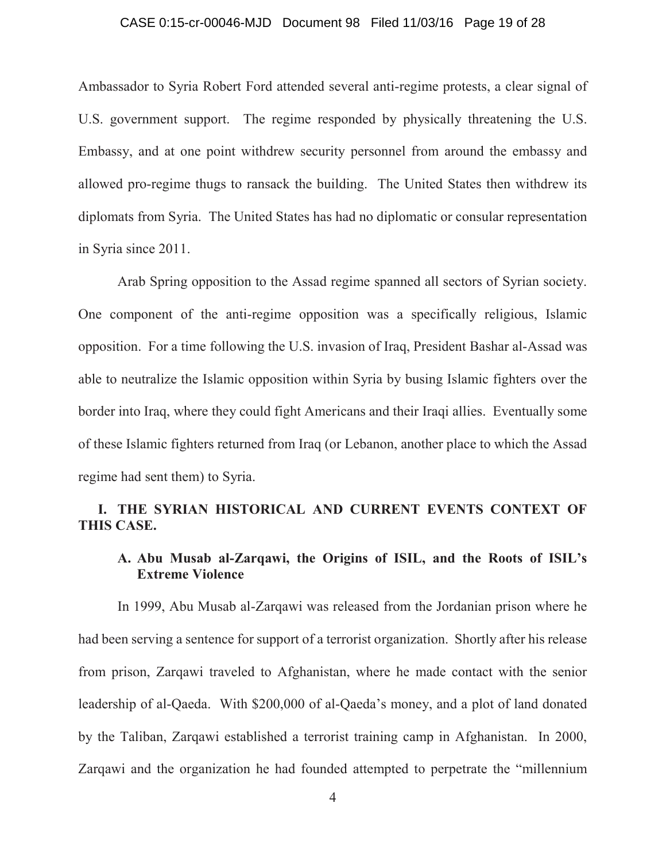## CASE 0:15-cr-00046-MJD Document 98 Filed 11/03/16 Page 19 of 28

Ambassador to Syria Robert Ford attended several anti-regime protests, a clear signal of U.S. government support. The regime responded by physically threatening the U.S. Embassy, and at one point withdrew security personnel from around the embassy and allowed pro-regime thugs to ransack the building. The United States then withdrew its diplomats from Syria. The United States has had no diplomatic or consular representation in Syria since 2011.

Arab Spring opposition to the Assad regime spanned all sectors of Syrian society. One component of the anti-regime opposition was a specifically religious, Islamic opposition. For a time following the U.S. invasion of Iraq, President Bashar al-Assad was able to neutralize the Islamic opposition within Syria by busing Islamic fighters over the border into Iraq, where they could fight Americans and their Iraqi allies. Eventually some of these Islamic fighters returned from Iraq (or Lebanon, another place to which the Assad regime had sent them) to Syria.

# **I. THE SYRIAN HISTORICAL AND CURRENT EVENTS CONTEXT OF THIS CASE.**

# **A. Abu Musab al-Zarqawi, the Origins of ISIL, and the Roots of ISIL's Extreme Violence**

In 1999, Abu Musab al-Zarqawi was released from the Jordanian prison where he had been serving a sentence for support of a terrorist organization. Shortly after his release from prison, Zarqawi traveled to Afghanistan, where he made contact with the senior leadership of al-Qaeda. With \$200,000 of al-Qaeda's money, and a plot of land donated by the Taliban, Zarqawi established a terrorist training camp in Afghanistan. In 2000, Zarqawi and the organization he had founded attempted to perpetrate the "millennium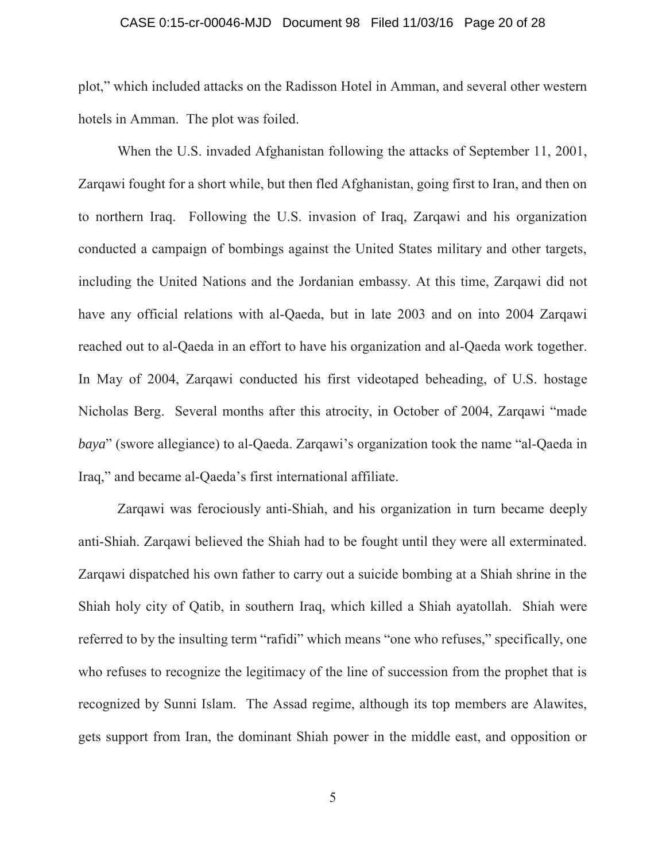## CASE 0:15-cr-00046-MJD Document 98 Filed 11/03/16 Page 20 of 28

plot," which included attacks on the Radisson Hotel in Amman, and several other western hotels in Amman. The plot was foiled.

When the U.S. invaded Afghanistan following the attacks of September 11, 2001, Zarqawi fought for a short while, but then fled Afghanistan, going first to Iran, and then on to northern Iraq. Following the U.S. invasion of Iraq, Zarqawi and his organization conducted a campaign of bombings against the United States military and other targets, including the United Nations and the Jordanian embassy. At this time, Zarqawi did not have any official relations with al-Qaeda, but in late 2003 and on into 2004 Zarqawi reached out to al-Qaeda in an effort to have his organization and al-Qaeda work together. In May of 2004, Zarqawi conducted his first videotaped beheading, of U.S. hostage Nicholas Berg. Several months after this atrocity, in October of 2004, Zarqawi "made *baya*" (swore allegiance) to al-Qaeda. Zarqawi's organization took the name "al-Qaeda in Iraq," and became al-Qaeda's first international affiliate.

Zarqawi was ferociously anti-Shiah, and his organization in turn became deeply anti-Shiah. Zarqawi believed the Shiah had to be fought until they were all exterminated. Zarqawi dispatched his own father to carry out a suicide bombing at a Shiah shrine in the Shiah holy city of Qatib, in southern Iraq, which killed a Shiah ayatollah. Shiah were referred to by the insulting term "rafidi" which means "one who refuses," specifically, one who refuses to recognize the legitimacy of the line of succession from the prophet that is recognized by Sunni Islam. The Assad regime, although its top members are Alawites, gets support from Iran, the dominant Shiah power in the middle east, and opposition or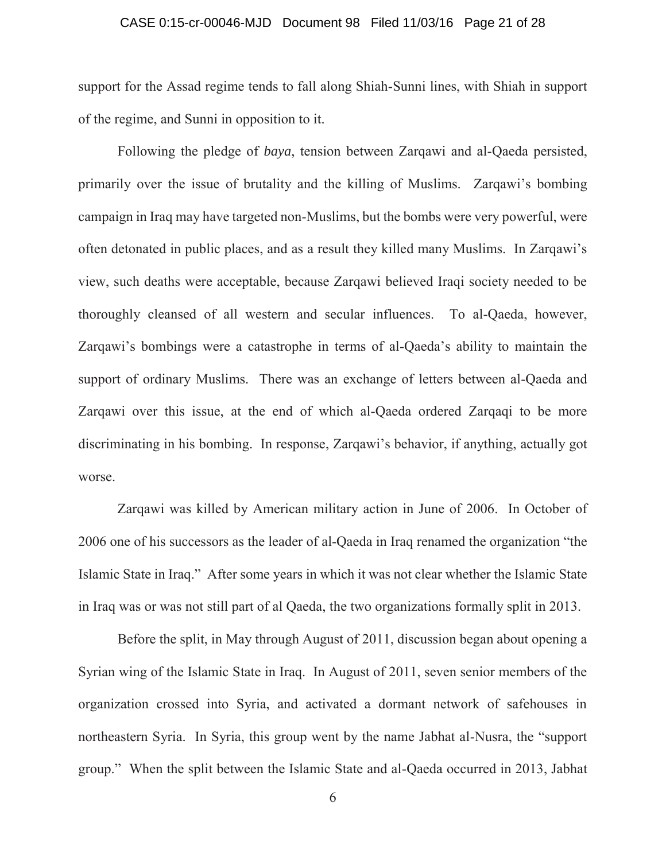## CASE 0:15-cr-00046-MJD Document 98 Filed 11/03/16 Page 21 of 28

support for the Assad regime tends to fall along Shiah-Sunni lines, with Shiah in support of the regime, and Sunni in opposition to it.

Following the pledge of *baya*, tension between Zarqawi and al-Qaeda persisted, primarily over the issue of brutality and the killing of Muslims. Zarqawi's bombing campaign in Iraq may have targeted non-Muslims, but the bombs were very powerful, were often detonated in public places, and as a result they killed many Muslims. In Zarqawi's view, such deaths were acceptable, because Zarqawi believed Iraqi society needed to be thoroughly cleansed of all western and secular influences. To al-Qaeda, however, Zarqawi's bombings were a catastrophe in terms of al-Qaeda's ability to maintain the support of ordinary Muslims. There was an exchange of letters between al-Qaeda and Zarqawi over this issue, at the end of which al-Qaeda ordered Zarqaqi to be more discriminating in his bombing. In response, Zarqawi's behavior, if anything, actually got worse.

Zarqawi was killed by American military action in June of 2006. In October of 2006 one of his successors as the leader of al-Qaeda in Iraq renamed the organization "the Islamic State in Iraq." After some years in which it was not clear whether the Islamic State in Iraq was or was not still part of al Qaeda, the two organizations formally split in 2013.

Before the split, in May through August of 2011, discussion began about opening a Syrian wing of the Islamic State in Iraq. In August of 2011, seven senior members of the organization crossed into Syria, and activated a dormant network of safehouses in northeastern Syria. In Syria, this group went by the name Jabhat al-Nusra, the "support group." When the split between the Islamic State and al-Qaeda occurred in 2013, Jabhat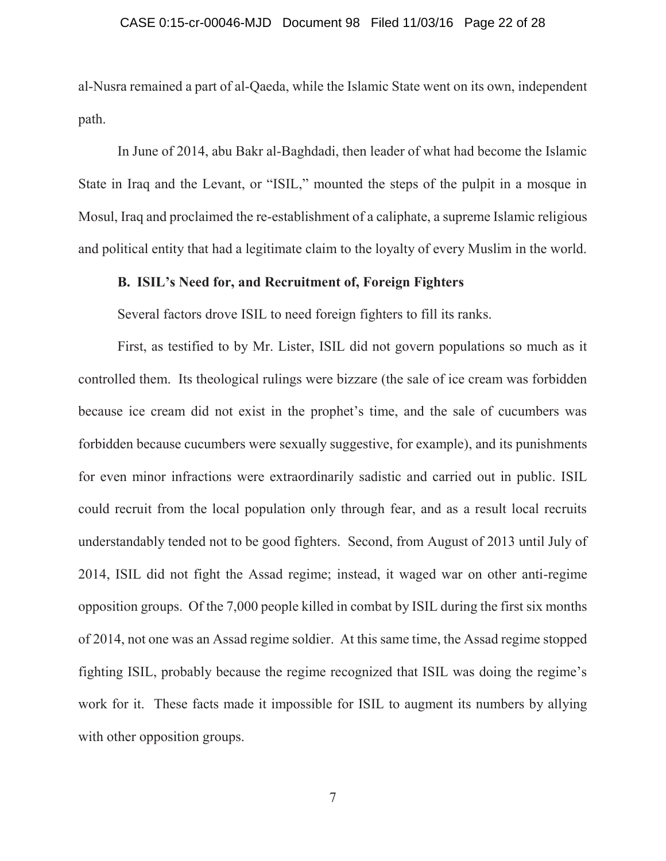## CASE 0:15-cr-00046-MJD Document 98 Filed 11/03/16 Page 22 of 28

al-Nusra remained a part of al-Qaeda, while the Islamic State went on its own, independent path.

In June of 2014, abu Bakr al-Baghdadi, then leader of what had become the Islamic State in Iraq and the Levant, or "ISIL," mounted the steps of the pulpit in a mosque in Mosul, Iraq and proclaimed the re-establishment of a caliphate, a supreme Islamic religious and political entity that had a legitimate claim to the loyalty of every Muslim in the world.

## **B. ISIL's Need for, and Recruitment of, Foreign Fighters**

Several factors drove ISIL to need foreign fighters to fill its ranks.

First, as testified to by Mr. Lister, ISIL did not govern populations so much as it controlled them. Its theological rulings were bizzare (the sale of ice cream was forbidden because ice cream did not exist in the prophet's time, and the sale of cucumbers was forbidden because cucumbers were sexually suggestive, for example), and its punishments for even minor infractions were extraordinarily sadistic and carried out in public. ISIL could recruit from the local population only through fear, and as a result local recruits understandably tended not to be good fighters. Second, from August of 2013 until July of 2014, ISIL did not fight the Assad regime; instead, it waged war on other anti-regime opposition groups. Of the 7,000 people killed in combat by ISIL during the first six months of 2014, not one was an Assad regime soldier. At this same time, the Assad regime stopped fighting ISIL, probably because the regime recognized that ISIL was doing the regime's work for it. These facts made it impossible for ISIL to augment its numbers by allying with other opposition groups.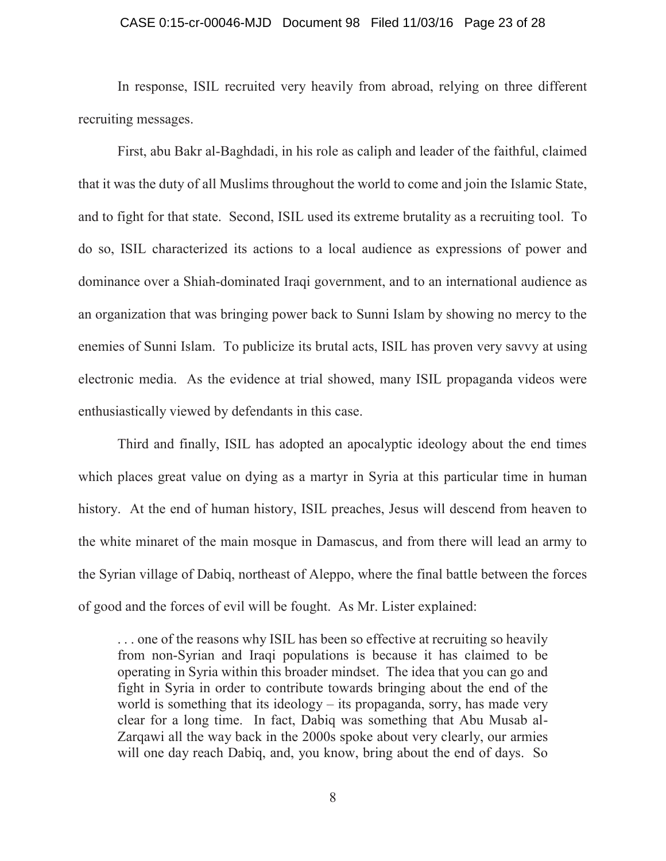## CASE 0:15-cr-00046-MJD Document 98 Filed 11/03/16 Page 23 of 28

In response, ISIL recruited very heavily from abroad, relying on three different recruiting messages.

First, abu Bakr al-Baghdadi, in his role as caliph and leader of the faithful, claimed that it was the duty of all Muslims throughout the world to come and join the Islamic State, and to fight for that state. Second, ISIL used its extreme brutality as a recruiting tool. To do so, ISIL characterized its actions to a local audience as expressions of power and dominance over a Shiah-dominated Iraqi government, and to an international audience as an organization that was bringing power back to Sunni Islam by showing no mercy to the enemies of Sunni Islam. To publicize its brutal acts, ISIL has proven very savvy at using electronic media. As the evidence at trial showed, many ISIL propaganda videos were enthusiastically viewed by defendants in this case.

Third and finally, ISIL has adopted an apocalyptic ideology about the end times which places great value on dying as a martyr in Syria at this particular time in human history. At the end of human history, ISIL preaches, Jesus will descend from heaven to the white minaret of the main mosque in Damascus, and from there will lead an army to the Syrian village of Dabiq, northeast of Aleppo, where the final battle between the forces of good and the forces of evil will be fought. As Mr. Lister explained:

... one of the reasons why ISIL has been so effective at recruiting so heavily from non-Syrian and Iraqi populations is because it has claimed to be operating in Syria within this broader mindset. The idea that you can go and fight in Syria in order to contribute towards bringing about the end of the world is something that its ideology – its propaganda, sorry, has made very clear for a long time. In fact, Dabiq was something that Abu Musab al-Zarqawi all the way back in the 2000s spoke about very clearly, our armies will one day reach Dabiq, and, you know, bring about the end of days. So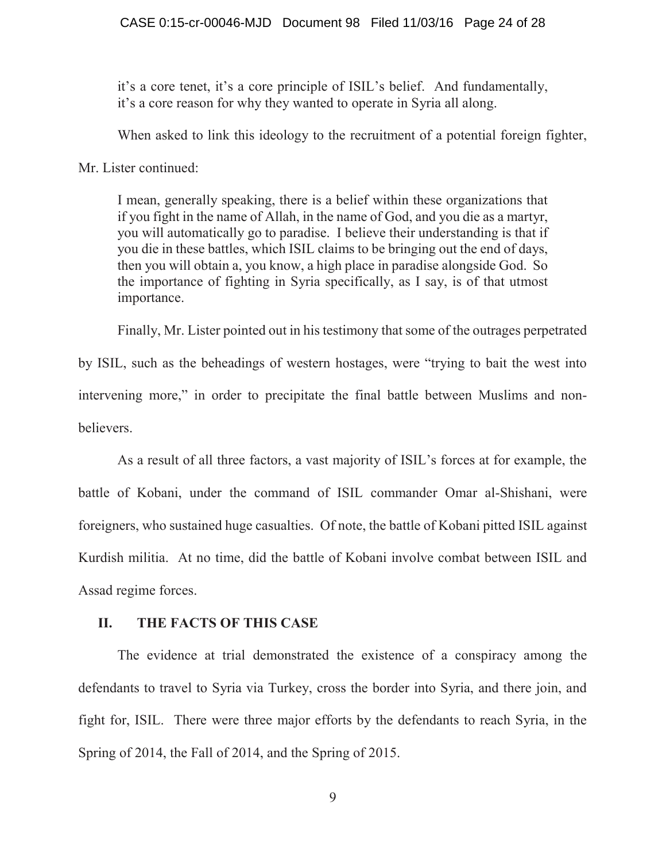it's a core tenet, it's a core principle of ISIL's belief. And fundamentally, it's a core reason for why they wanted to operate in Syria all along.

When asked to link this ideology to the recruitment of a potential foreign fighter,

Mr. Lister continued:

I mean, generally speaking, there is a belief within these organizations that if you fight in the name of Allah, in the name of God, and you die as a martyr, you will automatically go to paradise. I believe their understanding is that if you die in these battles, which ISIL claims to be bringing out the end of days, then you will obtain a, you know, a high place in paradise alongside God. So the importance of fighting in Syria specifically, as I say, is of that utmost importance.

Finally, Mr. Lister pointed out in his testimony that some of the outrages perpetrated by ISIL, such as the beheadings of western hostages, were "trying to bait the west into intervening more," in order to precipitate the final battle between Muslims and nonbelievers.

As a result of all three factors, a vast majority of ISIL's forces at for example, the battle of Kobani, under the command of ISIL commander Omar al-Shishani, were foreigners, who sustained huge casualties. Of note, the battle of Kobani pitted ISIL against Kurdish militia. At no time, did the battle of Kobani involve combat between ISIL and Assad regime forces.

## **II. THE FACTS OF THIS CASE**

The evidence at trial demonstrated the existence of a conspiracy among the defendants to travel to Syria via Turkey, cross the border into Syria, and there join, and fight for, ISIL. There were three major efforts by the defendants to reach Syria, in the Spring of 2014, the Fall of 2014, and the Spring of 2015.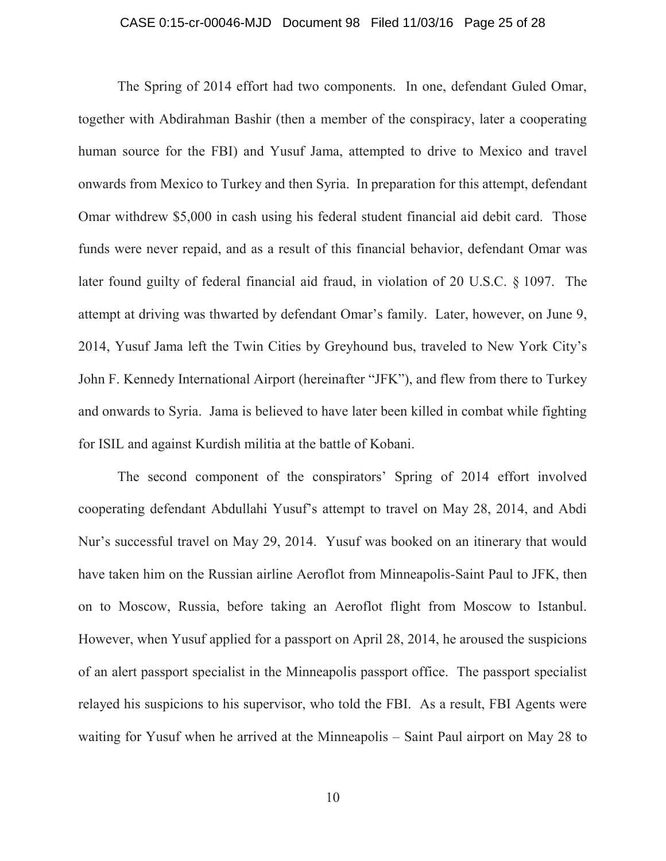## CASE 0:15-cr-00046-MJD Document 98 Filed 11/03/16 Page 25 of 28

The Spring of 2014 effort had two components. In one, defendant Guled Omar, together with Abdirahman Bashir (then a member of the conspiracy, later a cooperating human source for the FBI) and Yusuf Jama, attempted to drive to Mexico and travel onwards from Mexico to Turkey and then Syria. In preparation for this attempt, defendant Omar withdrew \$5,000 in cash using his federal student financial aid debit card. Those funds were never repaid, and as a result of this financial behavior, defendant Omar was later found guilty of federal financial aid fraud, in violation of 20 U.S.C. § 1097. The attempt at driving was thwarted by defendant Omar's family. Later, however, on June 9, 2014, Yusuf Jama left the Twin Cities by Greyhound bus, traveled to New York City's John F. Kennedy International Airport (hereinafter "JFK"), and flew from there to Turkey and onwards to Syria. Jama is believed to have later been killed in combat while fighting for ISIL and against Kurdish militia at the battle of Kobani.

The second component of the conspirators' Spring of 2014 effort involved cooperating defendant Abdullahi Yusuf's attempt to travel on May 28, 2014, and Abdi Nur's successful travel on May 29, 2014. Yusuf was booked on an itinerary that would have taken him on the Russian airline Aeroflot from Minneapolis-Saint Paul to JFK, then on to Moscow, Russia, before taking an Aeroflot flight from Moscow to Istanbul. However, when Yusuf applied for a passport on April 28, 2014, he aroused the suspicions of an alert passport specialist in the Minneapolis passport office. The passport specialist relayed his suspicions to his supervisor, who told the FBI. As a result, FBI Agents were waiting for Yusuf when he arrived at the Minneapolis – Saint Paul airport on May 28 to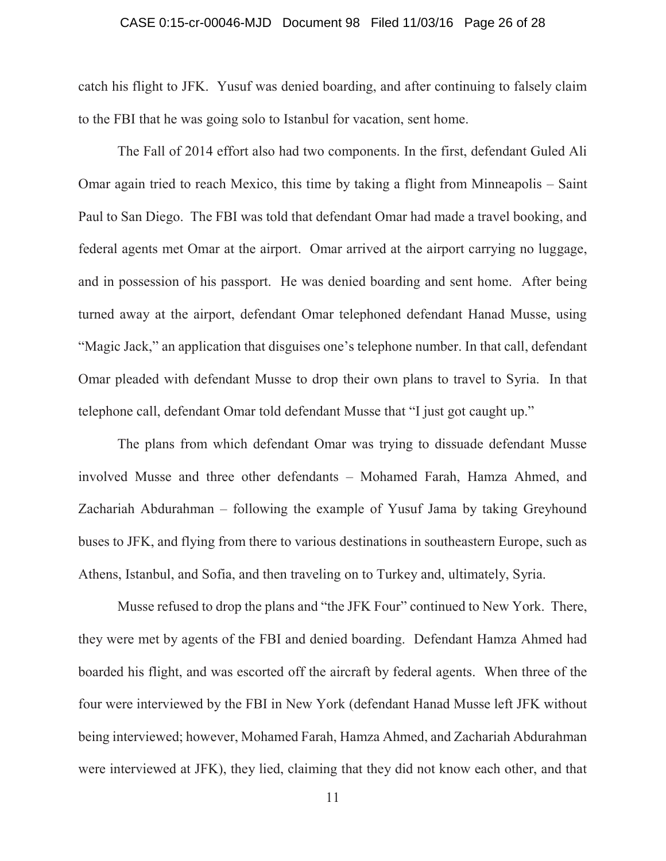## CASE 0:15-cr-00046-MJD Document 98 Filed 11/03/16 Page 26 of 28

catch his flight to JFK. Yusuf was denied boarding, and after continuing to falsely claim to the FBI that he was going solo to Istanbul for vacation, sent home.

The Fall of 2014 effort also had two components. In the first, defendant Guled Ali Omar again tried to reach Mexico, this time by taking a flight from Minneapolis – Saint Paul to San Diego. The FBI was told that defendant Omar had made a travel booking, and federal agents met Omar at the airport. Omar arrived at the airport carrying no luggage, and in possession of his passport. He was denied boarding and sent home. After being turned away at the airport, defendant Omar telephoned defendant Hanad Musse, using "Magic Jack," an application that disguises one's telephone number. In that call, defendant Omar pleaded with defendant Musse to drop their own plans to travel to Syria. In that telephone call, defendant Omar told defendant Musse that "I just got caught up."

The plans from which defendant Omar was trying to dissuade defendant Musse involved Musse and three other defendants – Mohamed Farah, Hamza Ahmed, and Zachariah Abdurahman – following the example of Yusuf Jama by taking Greyhound buses to JFK, and flying from there to various destinations in southeastern Europe, such as Athens, Istanbul, and Sofia, and then traveling on to Turkey and, ultimately, Syria.

Musse refused to drop the plans and "the JFK Four" continued to New York. There, they were met by agents of the FBI and denied boarding. Defendant Hamza Ahmed had boarded his flight, and was escorted off the aircraft by federal agents. When three of the four were interviewed by the FBI in New York (defendant Hanad Musse left JFK without being interviewed; however, Mohamed Farah, Hamza Ahmed, and Zachariah Abdurahman were interviewed at JFK), they lied, claiming that they did not know each other, and that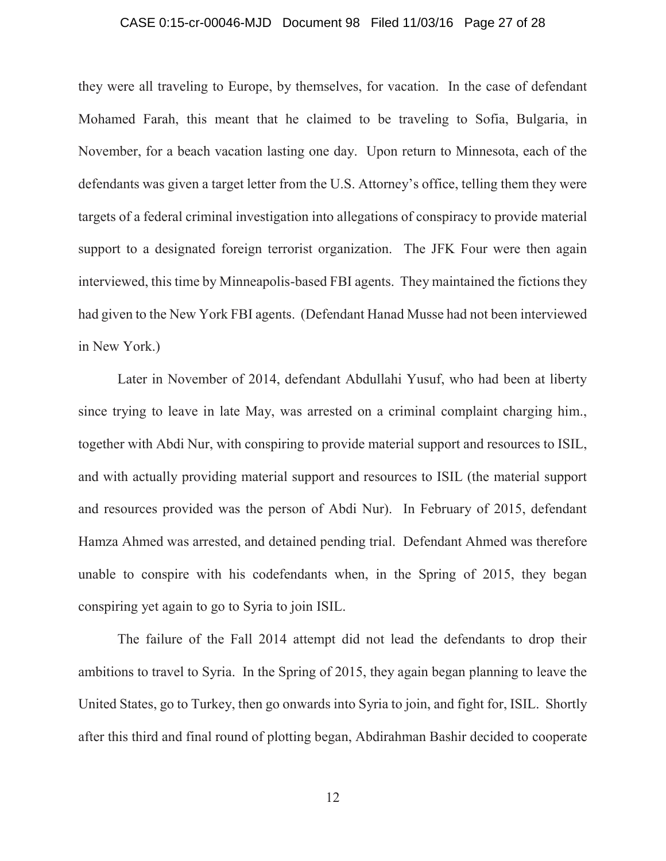## CASE 0:15-cr-00046-MJD Document 98 Filed 11/03/16 Page 27 of 28

they were all traveling to Europe, by themselves, for vacation. In the case of defendant Mohamed Farah, this meant that he claimed to be traveling to Sofia, Bulgaria, in November, for a beach vacation lasting one day. Upon return to Minnesota, each of the defendants was given a target letter from the U.S. Attorney's office, telling them they were targets of a federal criminal investigation into allegations of conspiracy to provide material support to a designated foreign terrorist organization. The JFK Four were then again interviewed, this time by Minneapolis-based FBI agents. They maintained the fictions they had given to the New York FBI agents. (Defendant Hanad Musse had not been interviewed in New York.)

Later in November of 2014, defendant Abdullahi Yusuf, who had been at liberty since trying to leave in late May, was arrested on a criminal complaint charging him., together with Abdi Nur, with conspiring to provide material support and resources to ISIL, and with actually providing material support and resources to ISIL (the material support and resources provided was the person of Abdi Nur). In February of 2015, defendant Hamza Ahmed was arrested, and detained pending trial. Defendant Ahmed was therefore unable to conspire with his codefendants when, in the Spring of 2015, they began conspiring yet again to go to Syria to join ISIL.

The failure of the Fall 2014 attempt did not lead the defendants to drop their ambitions to travel to Syria. In the Spring of 2015, they again began planning to leave the United States, go to Turkey, then go onwards into Syria to join, and fight for, ISIL. Shortly after this third and final round of plotting began, Abdirahman Bashir decided to cooperate